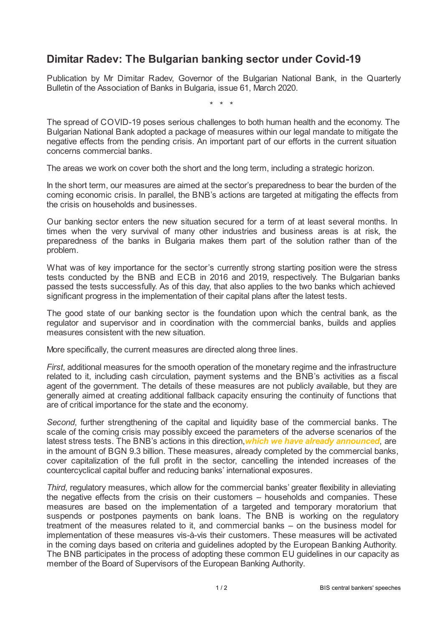## **Dimitar Radev: The Bulgarian banking sector under Covid-19**

Publication by Mr Dimitar Radev, Governor of the Bulgarian National Bank, in the Quarterly Bulletin of the Association of Banks in Bulgaria, issue 61, March 2020.

\* \* \*

The spread of COVID-19 poses serious challenges to both human health and the economy. The Bulgarian National Bank adopted a package of measures within our legal mandate to mitigate the negative effects from the pending crisis. An important part of our efforts in the current situation concerns commercial banks.

The areas we work on cover both the short and the long term, including a strategic horizon.

In the short term, our measures are aimed at the sector's preparedness to bear the burden of the coming economic crisis. In parallel, the BNB's actions are targeted at mitigating the effects from the crisis on households and businesses.

Our banking sector enters the new situation secured for a term of at least several months. In times when the very survival of many other industries and business areas is at risk, the preparedness of the banks in Bulgaria makes them part of the solution rather than of the problem.

What was of key importance for the sector's currently strong starting position were the stress tests conducted by the BNB and ECB in 2016 and 2019, respectively. The Bulgarian banks passed the tests successfully. As of this day, that also applies to the two banks which achieved significant progress in the implementation of their capital plans after the latest tests.

The good state of our banking sector is the foundation upon which the central bank, as the regulator and supervisor and in coordination with the commercial banks, builds and applies measures consistent with the new situation.

More specifically, the current measures are directed along three lines.

*First*, additional measures for the smooth operation of the monetary regime and the infrastructure related to it, including cash circulation, payment systems and the BNB's activities as a fiscal agent of the government. The details of these measures are not publicly available, but they are generally aimed at creating additional fallback capacity ensuring the continuity of functions that are of critical importance for the state and the economy.

*Second*, further strengthening of the capital and liquidity base of the commercial banks. The scale of the coming crisis may possibly exceed the parameters of the adverse scenarios of the latest stress tests. The BNB's actions in this direction,*which we have already [announced](www.bnb.bg/PressOffice/POPressReleases/POPRDate/PR_20200319_EN)*, are in the amount of BGN 9.3 billion. These measures, already completed by the commercial banks, cover capitalization of the full profit in the sector, cancelling the intended increases of the countercyclical capital buffer and reducing banks' international exposures.

*Third*, regulatory measures, which allow for the commercial banks' greater flexibility in alleviating the negative effects from the crisis on their customers – households and companies. These measures are based on the implementation of a targeted and temporary moratorium that suspends or postpones payments on bank loans. The BNB is working on the regulatory treatment of the measures related to it, and commercial banks – on the business model for implementation of these measures vis-à-vis their customers. These measures will be activated in the coming days based on criteria and guidelines adopted by the European Banking Authority. The BNB participates in the process of adopting these common EU guidelines in our capacity as member of the Board of Supervisors of the European Banking Authority.